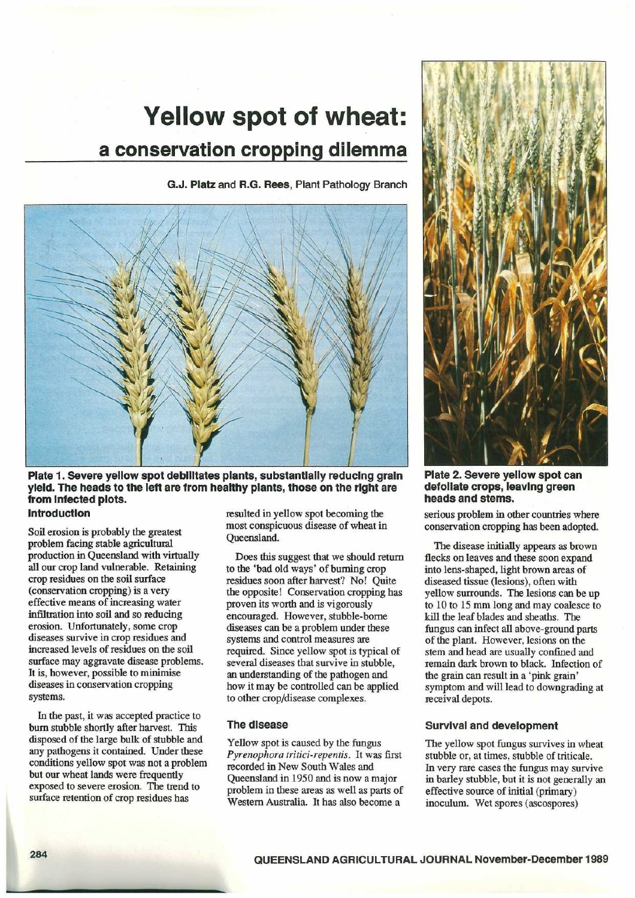# Yellow spot of wheat: a conservation cropping dilemma

G.J. Platz and R.G. Rees, Plant Pathology Branch



Plate 1. Severe yellow spot debilitates plants, substantially reducing grain yield. The heads to the left are from healthy plants, those on the right are from Infected plots.

#### Introduction

Soil erosion is probably the greatest problem facing stable agricultural production in Queensland with virtually all our crop land vulnerable. Retaining crop residues on the soil surface (conservation cropping) is a very effective means of increasing water infiltration into soil and so reducing erosion. Unfortunately, some crop diseases survive in crop residues and increased levels of residues on the soil surface may aggravate disease problems. It is, however, possible to minimise diseases in conservation cropping systems.

In the past, it was accepted practice to burn stubble shortly after harvest. This disposed of the large bulk of stubble and any pathogens it contained. Under these conditions yellow spot was not a problem but our wheat lands were frequently exposed to severe erosion. The trend to surface retention of crop residues has

resulted in yellow spot becoming the most conspicuous disease of wheat in Queensland.

Does this suggest that we should return to the `bad old ways' of burning crop residues soon after harvest? No! Quite the opposite! Conservation cropping has proven its worth and is vigorously encouraged. However, stubble-borne diseases can be a problem under these systems and control measures are required. Since yellow spot is typical of several diseases that survive in stubble, an understanding of the pathogen and how it may be controlled can be applied to other crop/disease complexes.

#### The disease

Yellow spot is caused by the fungus Pyrenophora tritici-repentis. It was first recorded in New South Wales and Queensland in 1950 and is now a major problem in these areas as well as parts of Western Australia. It has also become a



Plate 2. Severe yellow spot can defoliate crops, leaving green heads and stems.

serious problem in other countries where conservation cropping has been adopted.

The disease initially appears as brown flecks on leaves and these soon expand into lens-shaped, light brown areas of diseased tissue (lesions), often with yellow surrounds. The lesions can be up to 10 to 15 mm long and may coalesce to kill the leaf blades and sheaths. The fungus can infect all above-ground parts of the plant. However, lesions on the stem and head are usually confined and remain dark brown to black. Infection of the grain can result in a `pink grain' symptom and will lead to downgrading at receival depots.

#### Survival and development

The yellow spot fungus survives in wheat stubble or, at times, stubble of triticale . In very rare cases the fungus may survive in barley stubble, but it is not generally an effective source of initial (primary) inoculum. Wet spores (ascospores)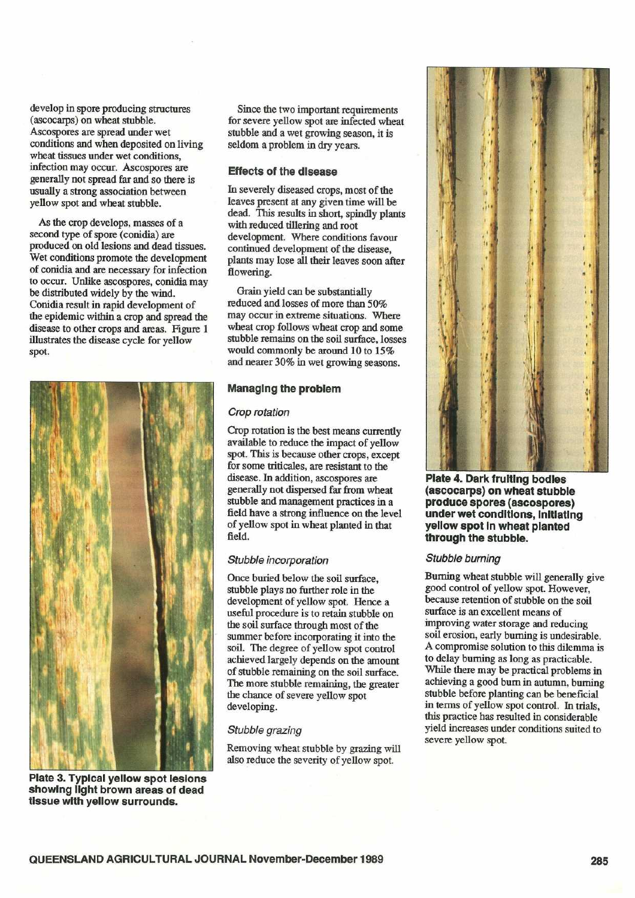develop in spore producing structures (ascocarps) on wheat stubble . Ascospores are spread under wet conditions and when deposited on living wheat tissues under wet conditions, infection may occur. Ascospores are generally not spread far and so there is usually a strong association between yellow spot and wheat stubble.

As the crop develops, masses of a second type of spore (conidia) are produced on old lesions and dead tissues . Wet conditions promote the development of conidia and are necessary for infection to occur. Unlike ascospores, conidia may be distributed widely by the wind. Conidia result in rapid development of the epidemic within a crop and spread the disease to other crops and areas. Figure 1 illustrates the disease cycle for yellow spot.



Since the two important requirements for severe yellow spot are infected wheat stubble and a wet growing season, it is seldom a problem in dry years.

#### Effects of the disease

In severely diseased crops, most of the leaves present at any given time will be dead. This results in short, spindly plants with reduced tillering and root development. Where conditions favour continued development of the disease, plants may lose all their leaves soon after flowering.

Grain yield can be substantially reduced and losses of more than 50% may occur in extreme situations. Where wheat crop follows wheat crop and some stubble remains on the soil surface, losses would commonly be around 10 to 15% and nearer 30% in wet growing seasons .

#### Managing the problem

#### Crop rotation

Crop rotation is the best means currently available to reduce the impact of yellow spot. This is because other crops, except for some triticales, are resistant to the disease. In addition, ascospores are generally not dispersed far from wheat stubble and management practices in a field have a strong influence on the level of yellow spot in wheat planted in that field.

#### Stubble incorporation

Once buried below the soil surface, stubble plays no further role in the development of yellow spot. Hence a useful procedure is to retain stubble on the soil surface through most of the summer before incorporating it into the soil. The degree of yellow spot control achieved largely depends on the amount of stubble remaining on the soil surface . The more stubble remaining, the greater the chance of severe yellow spot developing.

#### Stubble grazing

Removing wheat stubble by grazing will also reduce the severity of yellow spot.



Plate 4. Dark fruiting bodies (ascocarps) on wheat stubble produce spores (ascospores) under wet conditions, Initiating yellow spot In wheat planted through the stubble.

#### Stubble burning

Burning wheat stubble will generally give good control of yellow spot. However, because retention of stubble on the soil surface is an excellent means of improving water storage and reducing soil erosion, early burning is undesirable. A compromise solution to this dilemma is to delay burning as long as practicable . While there may be practical problems in achieving a good bum in autumn, burning stubble before planting can be beneficial in terms of yellow spot control. In trials, this practice has resulted in considerable yield increases under conditions suited to severe yellow spot.

Plate 3. Typical yellow spot lesions showing light brown areas of dead tissue with yellow surrounds.